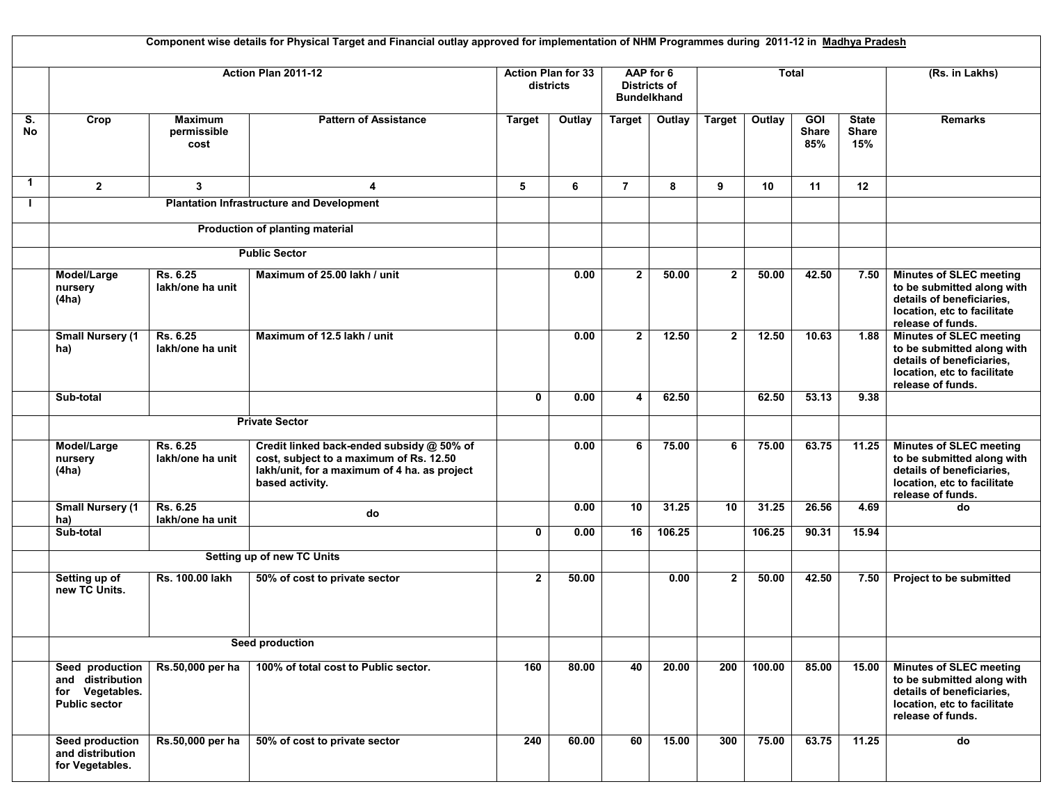|              |                                                                                |                                       | Component wise details for Physical Target and Financial outlay approved for implementation of NHM Programmes during 2011-12 in Madhya Pradesh          |              |                                        |                    |                                  |                 |              |                                   |                                     |                                                                                                                                               |
|--------------|--------------------------------------------------------------------------------|---------------------------------------|---------------------------------------------------------------------------------------------------------------------------------------------------------|--------------|----------------------------------------|--------------------|----------------------------------|-----------------|--------------|-----------------------------------|-------------------------------------|-----------------------------------------------------------------------------------------------------------------------------------------------|
|              |                                                                                |                                       | Action Plan 2011-12                                                                                                                                     |              | <b>Action Plan for 33</b><br>districts | <b>Bundelkhand</b> | AAP for 6<br><b>Districts of</b> |                 | <b>Total</b> |                                   |                                     | (Rs. in Lakhs)                                                                                                                                |
| S.<br>No     | Crop                                                                           | <b>Maximum</b><br>permissible<br>cost | <b>Pattern of Assistance</b>                                                                                                                            | Target       | Outlay                                 | Target             | Outlay                           | <b>Target</b>   | Outlay       | <b>GOI</b><br><b>Share</b><br>85% | <b>State</b><br><b>Share</b><br>15% | <b>Remarks</b>                                                                                                                                |
| $\mathbf{1}$ | $\mathbf{2}$                                                                   | $\mathbf{3}$                          | 4                                                                                                                                                       | 5            | 6                                      | $\overline{7}$     | 8                                | 9               | 10           | 11                                | $12 \,$                             |                                                                                                                                               |
|              |                                                                                |                                       | <b>Plantation Infrastructure and Development</b>                                                                                                        |              |                                        |                    |                                  |                 |              |                                   |                                     |                                                                                                                                               |
|              |                                                                                |                                       | <b>Production of planting material</b>                                                                                                                  |              |                                        |                    |                                  |                 |              |                                   |                                     |                                                                                                                                               |
|              |                                                                                |                                       | <b>Public Sector</b>                                                                                                                                    |              |                                        |                    |                                  |                 |              |                                   |                                     |                                                                                                                                               |
|              | Model/Large<br>nursery<br>(4ha)                                                | Rs. 6.25<br>lakh/one ha unit          | Maximum of 25.00 lakh / unit                                                                                                                            |              | 0.00                                   | $\mathbf{2}$       | 50.00                            | $\mathbf{2}$    | 50.00        | 42.50                             | 7.50                                | <b>Minutes of SLEC meeting</b><br>to be submitted along with<br>details of beneficiaries,<br>location, etc to facilitate<br>release of funds. |
|              | <b>Small Nursery (1</b><br>ha)                                                 | Rs. 6.25<br>lakh/one ha unit          | Maximum of 12.5 lakh / unit                                                                                                                             |              | 0.00                                   | $\mathbf{2}$       | 12.50                            | $\mathbf{2}$    | 12.50        | 10.63                             | 1.88                                | <b>Minutes of SLEC meeting</b><br>to be submitted along with<br>details of beneficiaries,<br>location, etc to facilitate<br>release of funds. |
|              | Sub-total                                                                      |                                       |                                                                                                                                                         | $\mathbf 0$  | 0.00                                   | 4                  | 62.50                            |                 | 62.50        | 53.13                             | 9.38                                |                                                                                                                                               |
|              |                                                                                | <b>Private Sector</b>                 |                                                                                                                                                         |              |                                        |                    |                                  |                 |              |                                   |                                     |                                                                                                                                               |
|              | Model/Large<br>nursery<br>(4ha)                                                | Rs. 6.25<br>lakh/one ha unit          | Credit linked back-ended subsidy @ 50% of<br>cost, subject to a maximum of Rs. 12.50<br>lakh/unit, for a maximum of 4 ha. as project<br>based activity. |              | 0.00                                   | 6                  | 75.00                            | 6               | 75.00        | 63.75                             | 11.25                               | <b>Minutes of SLEC meeting</b><br>to be submitted along with<br>details of beneficiaries,<br>location, etc to facilitate<br>release of funds. |
|              | <b>Small Nursery (1)</b><br>ha)                                                | Rs. 6.25<br>lakh/one ha unit          | do                                                                                                                                                      |              | 0.00                                   | 10                 | 31.25                            | $\overline{10}$ | 31.25        | 26.56                             | 4.69                                | do                                                                                                                                            |
|              | Sub-total                                                                      |                                       |                                                                                                                                                         | 0            | 0.00                                   | 16                 | 106.25                           |                 | 106.25       | 90.31                             | 15.94                               |                                                                                                                                               |
|              |                                                                                |                                       | <b>Setting up of new TC Units</b>                                                                                                                       |              |                                        |                    |                                  |                 |              |                                   |                                     |                                                                                                                                               |
|              | Setting up of<br>new TC Units.                                                 | Rs. 100.00 lakh                       | 50% of cost to private sector                                                                                                                           | $\mathbf{2}$ | 50.00                                  |                    | 0.00                             | $\mathbf 2$     | 50.00        | 42.50                             | 7.50                                | Project to be submitted                                                                                                                       |
|              |                                                                                |                                       | Seed production                                                                                                                                         |              |                                        |                    |                                  |                 |              |                                   |                                     |                                                                                                                                               |
|              | Seed production<br>and distribution<br>for Vegetables.<br><b>Public sector</b> | Rs.50,000 per ha                      | 100% of total cost to Public sector.                                                                                                                    | 160          | 80.00                                  | 40                 | 20.00                            | 200             | 100.00       | 85.00                             | 15.00                               | <b>Minutes of SLEC meeting</b><br>to be submitted along with<br>details of beneficiaries,<br>location, etc to facilitate<br>release of funds. |
|              | Seed production<br>and distribution<br>for Vegetables.                         | Rs.50,000 per ha                      | 50% of cost to private sector                                                                                                                           | 240          | 60.00                                  | 60                 | 15.00                            | 300             | 75.00        | 63.75                             | 11.25                               | do                                                                                                                                            |

L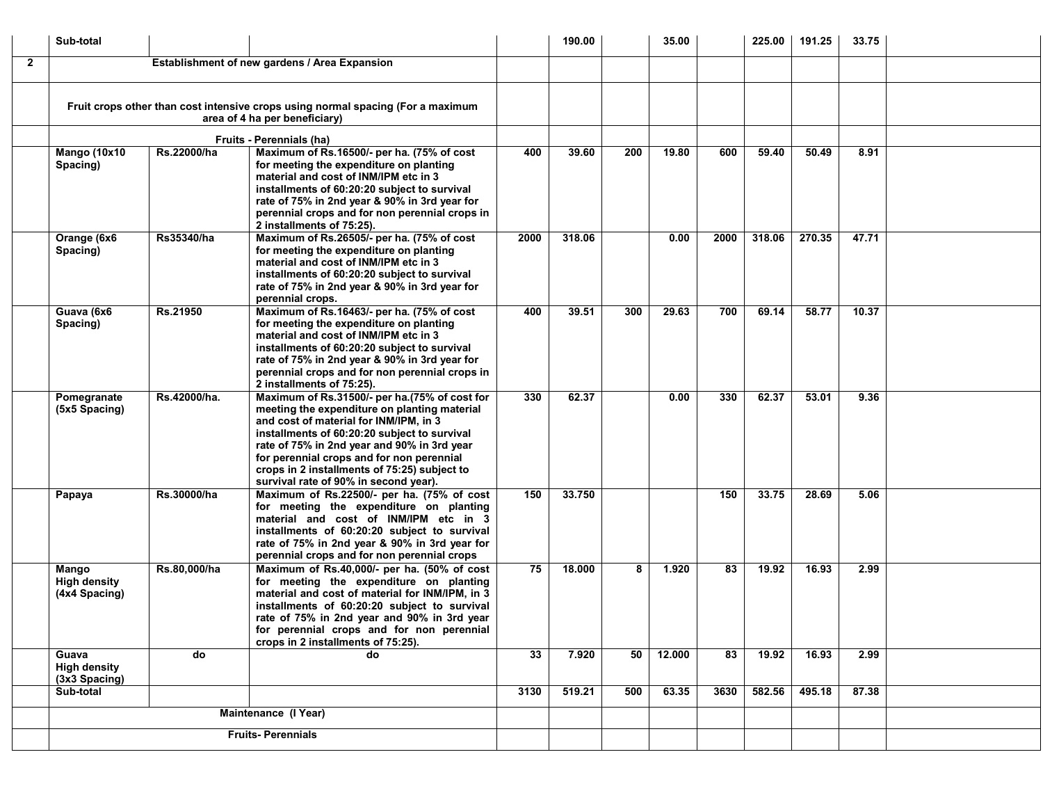|              | Sub-total                                       |              |                                                                                                                                                                                                                                                                                                                                                                              |      | 190.00 |     | 35.00  |                 | 225.00 | 191.25 | 33.75 |  |
|--------------|-------------------------------------------------|--------------|------------------------------------------------------------------------------------------------------------------------------------------------------------------------------------------------------------------------------------------------------------------------------------------------------------------------------------------------------------------------------|------|--------|-----|--------|-----------------|--------|--------|-------|--|
| $\mathbf{2}$ | Establishment of new gardens / Area Expansion   |              |                                                                                                                                                                                                                                                                                                                                                                              |      |        |     |        |                 |        |        |       |  |
|              |                                                 |              | Fruit crops other than cost intensive crops using normal spacing (For a maximum<br>area of 4 ha per beneficiary)                                                                                                                                                                                                                                                             |      |        |     |        |                 |        |        |       |  |
|              |                                                 |              | Fruits - Perennials (ha)                                                                                                                                                                                                                                                                                                                                                     |      |        |     |        |                 |        |        |       |  |
|              | <b>Mango (10x10)</b><br>Spacing)                | Rs.22000/ha  | Maximum of Rs.16500/- per ha. (75% of cost<br>for meeting the expenditure on planting<br>material and cost of INM/IPM etc in 3<br>installments of 60:20:20 subject to survival<br>rate of 75% in 2nd year & 90% in 3rd year for<br>perennial crops and for non perennial crops in<br>2 installments of 75:25).                                                               | 400  | 39.60  | 200 | 19.80  | 600             | 59.40  | 50.49  | 8.91  |  |
|              | Orange (6x6<br>Spacing)                         | Rs35340/ha   | Maximum of Rs.26505/- per ha. (75% of cost<br>for meeting the expenditure on planting<br>material and cost of INM/IPM etc in 3<br>installments of 60:20:20 subject to survival<br>rate of 75% in 2nd year & 90% in 3rd year for<br>perennial crops.                                                                                                                          | 2000 | 318.06 |     | 0.00   | 2000            | 318.06 | 270.35 | 47.71 |  |
|              | Guava (6x6<br>Spacing)                          | Rs.21950     | Maximum of Rs.16463/- per ha. (75% of cost<br>for meeting the expenditure on planting<br>material and cost of INM/IPM etc in 3<br>installments of 60:20:20 subject to survival<br>rate of 75% in 2nd year & 90% in 3rd year for<br>perennial crops and for non perennial crops in<br>2 installments of 75:25).                                                               | 400  | 39.51  | 300 | 29.63  | 700             | 69.14  | 58.77  | 10.37 |  |
|              | Pomegranate<br>(5x5 Spacing)                    | Rs.42000/ha. | Maximum of Rs.31500/- per ha.(75% of cost for<br>meeting the expenditure on planting material<br>and cost of material for INM/IPM, in 3<br>installments of 60:20:20 subject to survival<br>rate of 75% in 2nd year and 90% in 3rd year<br>for perennial crops and for non perennial<br>crops in 2 installments of 75:25) subject to<br>survival rate of 90% in second year). | 330  | 62.37  |     | 0.00   | 330             | 62.37  | 53.01  | 9.36  |  |
|              | Papaya                                          | Rs.30000/ha  | Maximum of Rs.22500/- per ha. (75% of cost<br>for meeting the expenditure on planting<br>material and cost of INM/IPM etc in 3<br>installments of 60:20:20 subject to survival<br>rate of 75% in 2nd year & 90% in 3rd year for<br>perennial crops and for non perennial crops                                                                                               | 150  | 33.750 |     |        | 150             | 33.75  | 28.69  | 5.06  |  |
|              | Mango<br><b>High density</b><br>(4x4 Spacing)   | Rs.80,000/ha | Maximum of Rs.40,000/- per ha. (50% of cost<br>for meeting the expenditure on planting<br>material and cost of material for INM/IPM, in 3<br>installments of 60:20:20 subject to survival<br>rate of 75% in 2nd year and 90% in 3rd year<br>for perennial crops and for non perennial<br>crops in 2 installments of 75:25).                                                  | 75   | 18.000 | 8   | 1.920  | $\overline{83}$ | 19.92  | 16.93  | 2.99  |  |
|              | Guava<br><b>High density</b><br>$(3x3$ Spacing) | do           | do                                                                                                                                                                                                                                                                                                                                                                           | 33   | 7.920  | 50  | 12.000 | 83              | 19.92  | 16.93  | 2.99  |  |
|              | Sub-total                                       |              | Maintenance (I Year)                                                                                                                                                                                                                                                                                                                                                         | 3130 | 519.21 | 500 | 63.35  | 3630            | 582.56 | 495.18 | 87.38 |  |
|              |                                                 |              |                                                                                                                                                                                                                                                                                                                                                                              |      |        |     |        |                 |        |        |       |  |
|              |                                                 |              |                                                                                                                                                                                                                                                                                                                                                                              |      |        |     |        |                 |        |        |       |  |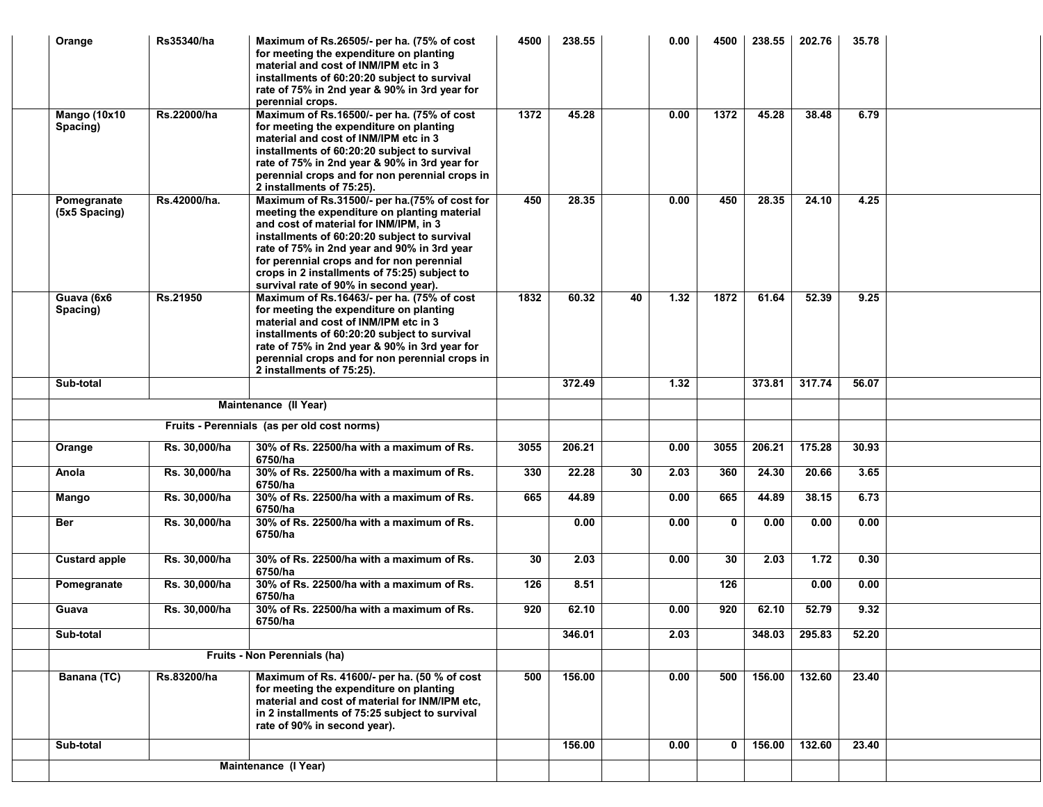| Orange                       | Rs35340/ha    | Maximum of Rs.26505/- per ha. (75% of cost<br>for meeting the expenditure on planting<br>material and cost of INM/IPM etc in 3<br>installments of 60:20:20 subject to survival<br>rate of 75% in 2nd year & 90% in 3rd year for<br>perennial crops.                                                                                                                          | 4500 | 238.55 |    | 0.00 | 4500         | 238.55 | 202.76 | 35.78 |  |
|------------------------------|---------------|------------------------------------------------------------------------------------------------------------------------------------------------------------------------------------------------------------------------------------------------------------------------------------------------------------------------------------------------------------------------------|------|--------|----|------|--------------|--------|--------|-------|--|
| Mango (10x10<br>Spacing)     | Rs.22000/ha   | Maximum of Rs.16500/- per ha. (75% of cost<br>for meeting the expenditure on planting<br>material and cost of INM/IPM etc in 3<br>installments of 60:20:20 subject to survival<br>rate of 75% in 2nd year & 90% in 3rd year for<br>perennial crops and for non perennial crops in<br>2 installments of 75:25).                                                               | 1372 | 45.28  |    | 0.00 | 1372         | 45.28  | 38.48  | 6.79  |  |
| Pomegranate<br>(5x5 Spacing) | Rs.42000/ha.  | Maximum of Rs.31500/- per ha.(75% of cost for<br>meeting the expenditure on planting material<br>and cost of material for INM/IPM, in 3<br>installments of 60:20:20 subject to survival<br>rate of 75% in 2nd year and 90% in 3rd year<br>for perennial crops and for non perennial<br>crops in 2 installments of 75:25) subject to<br>survival rate of 90% in second year). | 450  | 28.35  |    | 0.00 | 450          | 28.35  | 24.10  | 4.25  |  |
| Guava (6x6<br>Spacing)       | Rs.21950      | Maximum of Rs.16463/- per ha. (75% of cost<br>for meeting the expenditure on planting<br>material and cost of INM/IPM etc in 3<br>installments of 60:20:20 subject to survival<br>rate of 75% in 2nd year & 90% in 3rd year for<br>perennial crops and for non perennial crops in<br>2 installments of 75:25).                                                               | 1832 | 60.32  | 40 | 1.32 | 1872         | 61.64  | 52.39  | 9.25  |  |
| Sub-total                    |               |                                                                                                                                                                                                                                                                                                                                                                              |      | 372.49 |    | 1.32 |              | 373.81 | 317.74 | 56.07 |  |
|                              |               | Maintenance (Il Year)                                                                                                                                                                                                                                                                                                                                                        |      |        |    |      |              |        |        |       |  |
|                              |               | Fruits - Perennials (as per old cost norms)                                                                                                                                                                                                                                                                                                                                  |      |        |    |      |              |        |        |       |  |
| Orange                       | Rs. 30,000/ha | 30% of Rs. 22500/ha with a maximum of Rs.<br>6750/ha                                                                                                                                                                                                                                                                                                                         | 3055 | 206.21 |    | 0.00 | 3055         | 206.21 | 175.28 | 30.93 |  |
| Anola                        | Rs. 30,000/ha | 30% of Rs. 22500/ha with a maximum of Rs.<br>6750/ha                                                                                                                                                                                                                                                                                                                         | 330  | 22.28  | 30 | 2.03 | 360          | 24.30  | 20.66  | 3.65  |  |
| Mango                        | Rs. 30,000/ha | 30% of Rs. 22500/ha with a maximum of Rs.<br>6750/ha                                                                                                                                                                                                                                                                                                                         | 665  | 44.89  |    | 0.00 | 665          | 44.89  | 38.15  | 6.73  |  |
| Ber                          | Rs. 30,000/ha | 30% of Rs. 22500/ha with a maximum of Rs.<br>6750/ha                                                                                                                                                                                                                                                                                                                         |      | 0.00   |    | 0.00 | $\mathbf 0$  | 0.00   | 0.00   | 0.00  |  |
| <b>Custard apple</b>         | Rs. 30,000/ha | 30% of Rs. 22500/ha with a maximum of Rs.<br>6750/ha                                                                                                                                                                                                                                                                                                                         | 30   | 2.03   |    | 0.00 | 30           | 2.03   | 1.72   | 0.30  |  |
| Pomegranate                  | Rs. 30,000/ha | 30% of Rs. 22500/ha with a maximum of Rs.<br>6750/ha                                                                                                                                                                                                                                                                                                                         | 126  | 8.51   |    |      | 126          |        | 0.00   | 0.00  |  |
| Guava                        | Rs. 30,000/ha | 30% of Rs. 22500/ha with a maximum of Rs.<br>6750/ha                                                                                                                                                                                                                                                                                                                         | 920  | 62.10  |    | 0.00 | 920          | 62.10  | 52.79  | 9.32  |  |
| Sub-total                    |               |                                                                                                                                                                                                                                                                                                                                                                              |      | 346.01 |    | 2.03 |              | 348.03 | 295.83 | 52.20 |  |
|                              |               | Fruits - Non Perennials (ha)                                                                                                                                                                                                                                                                                                                                                 |      |        |    |      |              |        |        |       |  |
| Banana (TC)                  | Rs.83200/ha   | Maximum of Rs. 41600/- per ha. (50 % of cost<br>for meeting the expenditure on planting<br>material and cost of material for INM/IPM etc.<br>in 2 installments of 75:25 subject to survival<br>rate of 90% in second year).                                                                                                                                                  | 500  | 156.00 |    | 0.00 | 500          | 156.00 | 132.60 | 23.40 |  |
| Sub-total                    |               |                                                                                                                                                                                                                                                                                                                                                                              |      | 156.00 |    | 0.00 | $\mathbf{0}$ | 156.00 | 132.60 | 23.40 |  |
|                              |               | Maintenance (I Year)                                                                                                                                                                                                                                                                                                                                                         |      |        |    |      |              |        |        |       |  |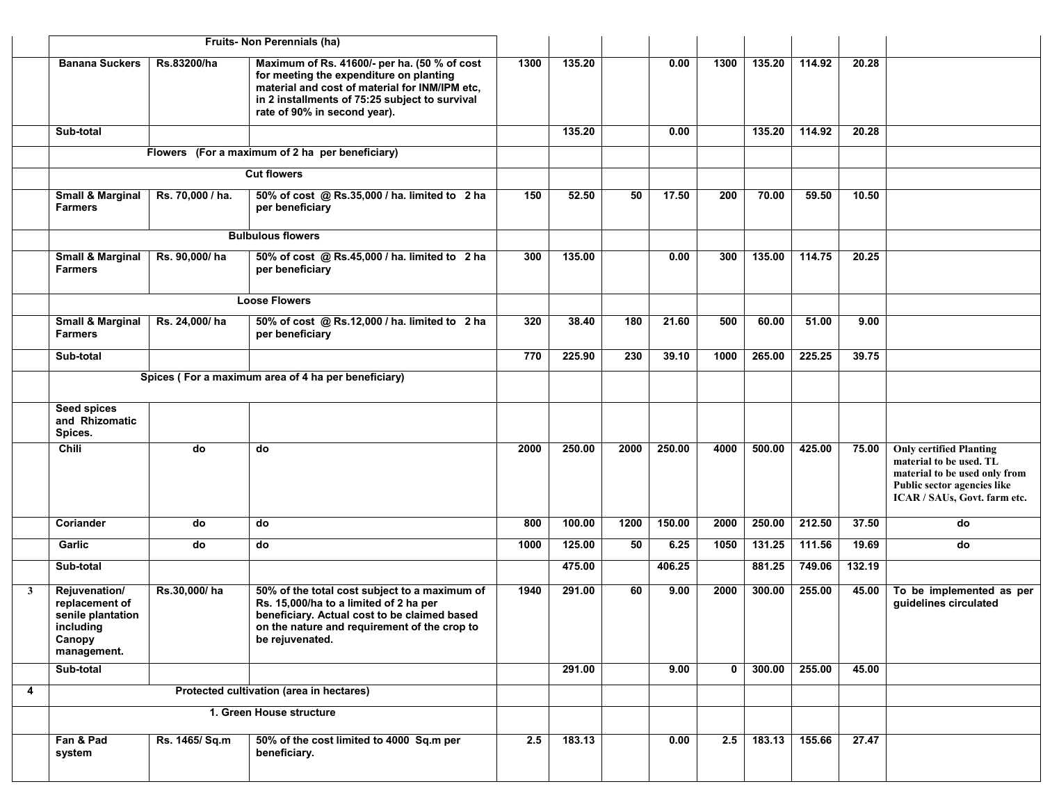|   | Fruits- Non Perennials (ha)                                                                |                          |                                                                                                                                                                                                                             |      |        |      |        |             |        |        |        |                                                                                                                                                           |
|---|--------------------------------------------------------------------------------------------|--------------------------|-----------------------------------------------------------------------------------------------------------------------------------------------------------------------------------------------------------------------------|------|--------|------|--------|-------------|--------|--------|--------|-----------------------------------------------------------------------------------------------------------------------------------------------------------|
|   | <b>Banana Suckers</b>                                                                      | Rs.83200/ha              | Maximum of Rs. 41600/- per ha. (50 % of cost<br>for meeting the expenditure on planting<br>material and cost of material for INM/IPM etc,<br>in 2 installments of 75:25 subject to survival<br>rate of 90% in second year). | 1300 | 135.20 |      | 0.00   | 1300        | 135.20 | 114.92 | 20.28  |                                                                                                                                                           |
|   | Sub-total                                                                                  |                          |                                                                                                                                                                                                                             |      | 135.20 |      | 0.00   |             | 135.20 | 114.92 | 20.28  |                                                                                                                                                           |
|   |                                                                                            |                          | Flowers (For a maximum of 2 ha per beneficiary)                                                                                                                                                                             |      |        |      |        |             |        |        |        |                                                                                                                                                           |
|   |                                                                                            |                          | <b>Cut flowers</b>                                                                                                                                                                                                          |      |        |      |        |             |        |        |        |                                                                                                                                                           |
|   | <b>Small &amp; Marginal</b><br><b>Farmers</b>                                              | Rs. 70,000 / ha.         | 50% of cost @ Rs.35,000 / ha. limited to 2 ha<br>per beneficiary                                                                                                                                                            | 150  | 52.50  | 50   | 17.50  | 200         | 70.00  | 59.50  | 10.50  |                                                                                                                                                           |
|   |                                                                                            |                          | <b>Bulbulous flowers</b>                                                                                                                                                                                                    |      |        |      |        |             |        |        |        |                                                                                                                                                           |
|   | <b>Small &amp; Marginal</b><br><b>Farmers</b>                                              | Rs. 90,000/ha            | 50% of cost @ Rs.45,000 / ha. limited to 2 ha<br>per beneficiary                                                                                                                                                            | 300  | 135.00 |      | 0.00   | 300         | 135.00 | 114.75 | 20.25  |                                                                                                                                                           |
|   |                                                                                            |                          | <b>Loose Flowers</b>                                                                                                                                                                                                        |      |        |      |        |             |        |        |        |                                                                                                                                                           |
|   | <b>Small &amp; Marginal</b><br><b>Farmers</b>                                              | Rs. 24,000/ha            | 50% of cost @ Rs.12,000 / ha. limited to 2 ha<br>per beneficiary                                                                                                                                                            | 320  | 38.40  | 180  | 21.60  | 500         | 60.00  | 51.00  | 9.00   |                                                                                                                                                           |
|   | Sub-total                                                                                  |                          |                                                                                                                                                                                                                             | 770  | 225.90 | 230  | 39.10  | 1000        | 265.00 | 225.25 | 39.75  |                                                                                                                                                           |
|   | Spices (For a maximum area of 4 ha per beneficiary)                                        |                          |                                                                                                                                                                                                                             |      |        |      |        |             |        |        |        |                                                                                                                                                           |
|   | Seed spices<br>and Rhizomatic<br>Spices.                                                   |                          |                                                                                                                                                                                                                             |      |        |      |        |             |        |        |        |                                                                                                                                                           |
|   | <b>Chili</b>                                                                               | do                       | do                                                                                                                                                                                                                          | 2000 | 250.00 | 2000 | 250.00 | 4000        | 500.00 | 425.00 | 75.00  | <b>Only certified Planting</b><br>material to be used. TL<br>material to be used only from<br>Public sector agencies like<br>ICAR / SAUs, Govt. farm etc. |
|   | Coriander                                                                                  | do                       | do                                                                                                                                                                                                                          | 800  | 100.00 | 1200 | 150.00 | 2000        | 250.00 | 212.50 | 37.50  | do                                                                                                                                                        |
|   | Garlic                                                                                     | do                       | do                                                                                                                                                                                                                          | 1000 | 125.00 | 50   | 6.25   | 1050        | 131.25 | 111.56 | 19.69  | do                                                                                                                                                        |
|   | Sub-total                                                                                  |                          |                                                                                                                                                                                                                             |      | 475.00 |      | 406.25 |             | 881.25 | 749.06 | 132.19 |                                                                                                                                                           |
| 3 | Rejuvenation/<br>replacement of<br>senile plantation<br>including<br>Canopy<br>management. | Rs.30,000/ha             | 50% of the total cost subject to a maximum of<br>Rs. 15,000/ha to a limited of 2 ha per<br>beneficiary. Actual cost to be claimed based<br>on the nature and requirement of the crop to<br>be rejuvenated.                  | 1940 | 291.00 | 60   | 9.00   | 2000        | 300.00 | 255.00 | 45.00  | To be implemented as per<br>quidelines circulated                                                                                                         |
|   | Sub-total                                                                                  |                          |                                                                                                                                                                                                                             |      | 291.00 |      | 9.00   | $\mathbf 0$ | 300.00 | 255.00 | 45.00  |                                                                                                                                                           |
| 4 |                                                                                            |                          |                                                                                                                                                                                                                             |      |        |      |        |             |        |        |        |                                                                                                                                                           |
|   |                                                                                            | 1. Green House structure |                                                                                                                                                                                                                             |      |        |      |        |             |        |        |        |                                                                                                                                                           |
|   | Fan & Pad<br>system                                                                        | Rs. 1465/ Sq.m           | 50% of the cost limited to 4000 Sq.m per<br>beneficiary.                                                                                                                                                                    | 2.5  | 183.13 |      | 0.00   | 2.5         | 183.13 | 155.66 | 27.47  |                                                                                                                                                           |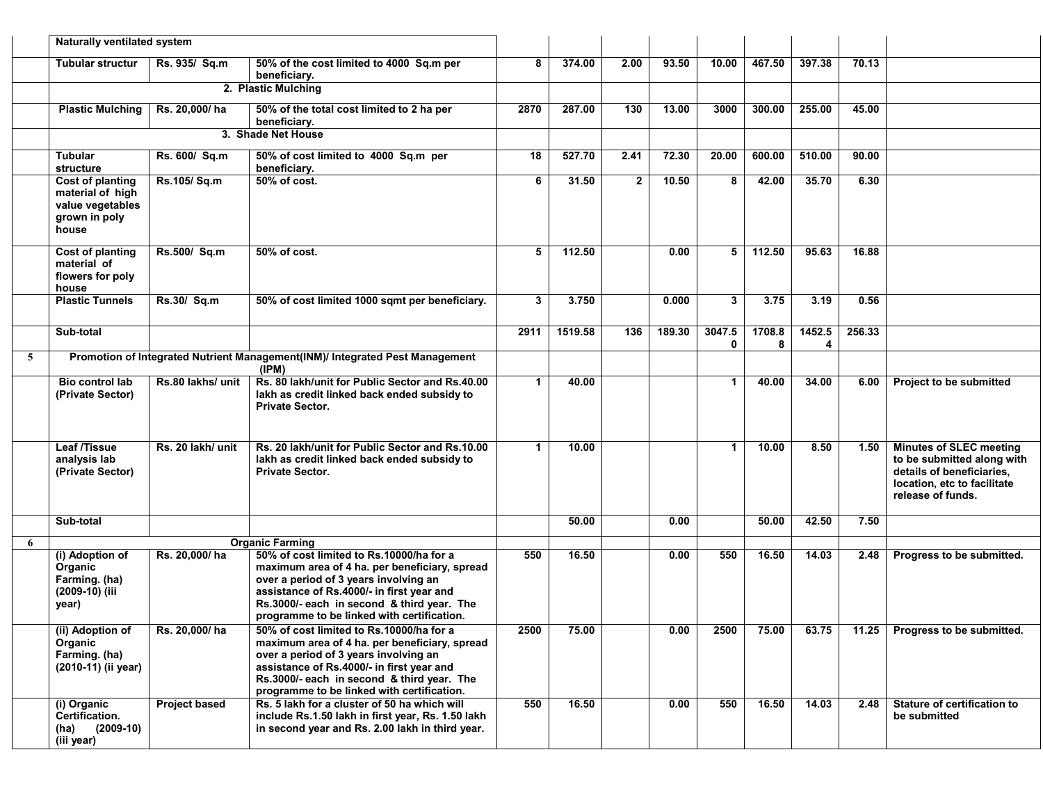|   | Naturally ventilated system                                                        |                      |                                                                                                                                                                                                                                                                             |              |         |              |        |              |             |             |        |                                                                                                                                               |
|---|------------------------------------------------------------------------------------|----------------------|-----------------------------------------------------------------------------------------------------------------------------------------------------------------------------------------------------------------------------------------------------------------------------|--------------|---------|--------------|--------|--------------|-------------|-------------|--------|-----------------------------------------------------------------------------------------------------------------------------------------------|
|   | Tubular structur                                                                   | Rs. 935/ Sq.m        | 50% of the cost limited to 4000 Sq.m per<br>beneficiary.                                                                                                                                                                                                                    | 8            | 374.00  | 2.00         | 93.50  | 10.00        | 467.50      | 397.38      | 70.13  |                                                                                                                                               |
|   | 2. Plastic Mulching                                                                |                      |                                                                                                                                                                                                                                                                             |              |         |              |        |              |             |             |        |                                                                                                                                               |
|   | <b>Plastic Mulching</b>                                                            | Rs. 20,000/ha        | 50% of the total cost limited to 2 ha per<br>beneficiary.                                                                                                                                                                                                                   | 2870         | 287.00  | 130          | 13.00  | 3000         | 300.00      | 255.00      | 45.00  |                                                                                                                                               |
|   |                                                                                    |                      | 3. Shade Net House                                                                                                                                                                                                                                                          |              |         |              |        |              |             |             |        |                                                                                                                                               |
|   | Tubular<br>structure                                                               | Rs. 600/ Sq.m        | 50% of cost limited to 4000 Sq.m per<br>beneficiary.                                                                                                                                                                                                                        | 18           | 527.70  | 2.41         | 72.30  | 20.00        | 600.00      | 510.00      | 90.00  |                                                                                                                                               |
|   | Cost of planting<br>material of high<br>value vegetables<br>grown in poly<br>house | Rs.105/Sq.m          | 50% of cost.                                                                                                                                                                                                                                                                | 6            | 31.50   | $\mathbf{2}$ | 10.50  | 8            | 42.00       | 35.70       | 6.30   |                                                                                                                                               |
|   | Cost of planting<br>material of<br>flowers for poly<br>house                       | Rs.500/ Sq.m         | 50% of cost.                                                                                                                                                                                                                                                                | 5            | 112.50  |              | 0.00   | 5            | 112.50      | 95.63       | 16.88  |                                                                                                                                               |
|   | <b>Plastic Tunnels</b>                                                             | Rs.30/ Sq.m          | 50% of cost limited 1000 sqmt per beneficiary.                                                                                                                                                                                                                              | $\mathbf{3}$ | 3.750   |              | 0.000  | $\mathbf{3}$ | 3.75        | 3.19        | 0.56   |                                                                                                                                               |
|   | Sub-total                                                                          |                      |                                                                                                                                                                                                                                                                             | 2911         | 1519.58 | 136          | 189.30 | 3047.5<br>0  | 1708.8<br>8 | 1452.5<br>4 | 256.33 |                                                                                                                                               |
| 5 |                                                                                    |                      | Promotion of Integrated Nutrient Management(INM)/ Integrated Pest Management<br>(IPM)                                                                                                                                                                                       |              |         |              |        |              |             |             |        |                                                                                                                                               |
|   | <b>Bio control lab</b><br>(Private Sector)                                         | Rs.80 lakhs/ unit    | Rs. 80 lakh/unit for Public Sector and Rs.40.00<br>lakh as credit linked back ended subsidy to<br><b>Private Sector.</b>                                                                                                                                                    | $\mathbf{1}$ | 40.00   |              |        | $\mathbf 1$  | 40.00       | 34.00       | 6.00   | <b>Project to be submitted</b>                                                                                                                |
|   | Leaf /Tissue<br>analysis lab<br>(Private Sector)                                   | Rs. 20 lakh/ unit    | Rs. 20 lakh/unit for Public Sector and Rs.10.00<br>lakh as credit linked back ended subsidy to<br><b>Private Sector.</b>                                                                                                                                                    | $\mathbf{1}$ | 10.00   |              |        | $\mathbf 1$  | 10.00       | 8.50        | 1.50   | <b>Minutes of SLEC meeting</b><br>to be submitted along with<br>details of beneficiaries,<br>location, etc to facilitate<br>release of funds. |
|   | Sub-total                                                                          |                      |                                                                                                                                                                                                                                                                             |              | 50.00   |              | 0.00   |              | 50.00       | 42.50       | 7.50   |                                                                                                                                               |
| 6 |                                                                                    |                      | <b>Organic Farming</b>                                                                                                                                                                                                                                                      |              |         |              |        |              |             |             |        |                                                                                                                                               |
|   | (i) Adoption of<br>Organic<br>Farming. (ha)<br>(2009-10) (iii<br>year)             | Rs. 20,000/ha        | 50% of cost limited to Rs.10000/ha for a<br>maximum area of 4 ha. per beneficiary, spread<br>over a period of 3 years involving an<br>assistance of Rs.4000/- in first year and<br>Rs.3000/- each in second & third year. The<br>programme to be linked with certification. | 550          | 16.50   |              | 0.00   | 550          | 16.50       | 14.03       | 2.48   | Progress to be submitted.                                                                                                                     |
|   | (ii) Adoption of<br>Organic<br>Farming. (ha)<br>(2010-11) (ii year)                | Rs. 20,000/ha        | 50% of cost limited to Rs.10000/ha for a<br>maximum area of 4 ha. per beneficiary, spread<br>over a period of 3 years involving an<br>assistance of Rs.4000/- in first year and<br>Rs.3000/- each in second & third year. The<br>programme to be linked with certification. | 2500         | 75.00   |              | 0.00   | 2500         | 75.00       | 63.75       | 11.25  | Progress to be submitted.                                                                                                                     |
|   | (i) Organic<br>Certification.<br>$(ha)$ (2009-10)<br>(iii year)                    | <b>Project based</b> | Rs. 5 lakh for a cluster of 50 ha which will<br>include Rs.1.50 lakh in first year, Rs. 1.50 lakh<br>in second year and Rs. 2.00 lakh in third year.                                                                                                                        | 550          | 16.50   |              | 0.00   | 550          | 16.50       | 14.03       | 2.48   | Stature of certification to<br>be submitted                                                                                                   |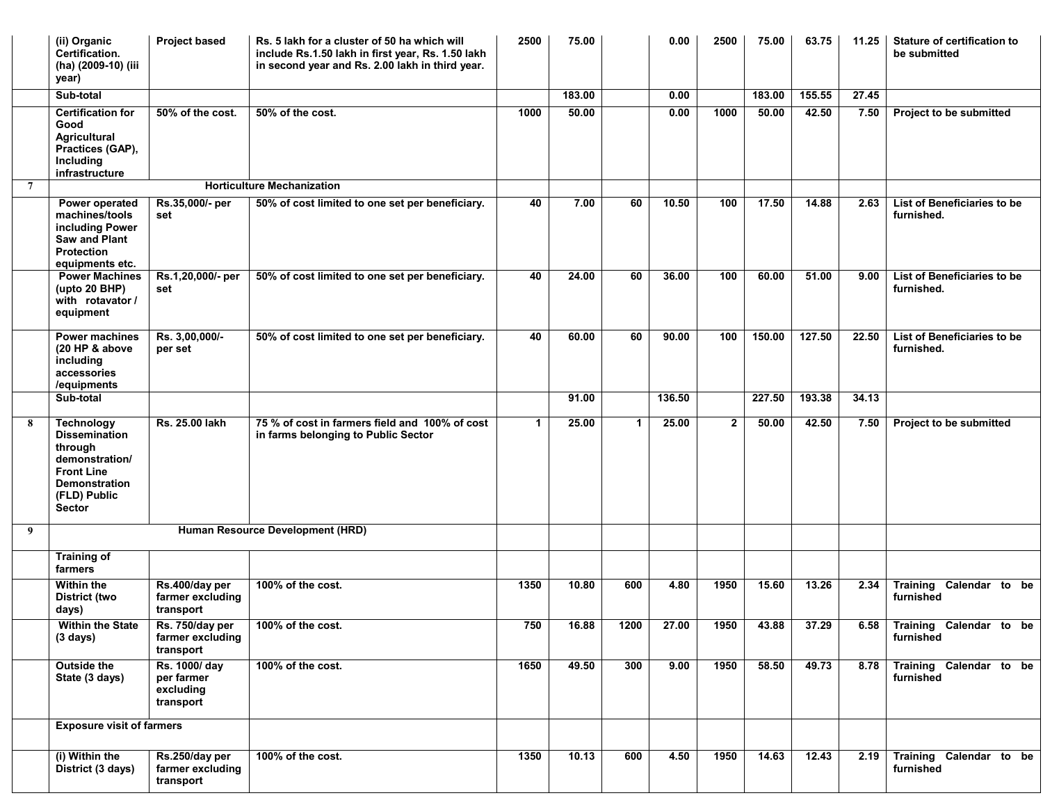|                | (ii) Organic<br>Certification.<br>(ha) (2009-10) (iii<br>year)                                                                                       | Project based                                         | Rs. 5 lakh for a cluster of 50 ha which will<br>include Rs.1.50 lakh in first year, Rs. 1.50 lakh<br>in second year and Rs. 2.00 lakh in third year. | 2500         | 75.00  |                      | 0.00   | 2500         | 75.00  | 63.75       | 11.25 | Stature of certification to<br>be submitted |
|----------------|------------------------------------------------------------------------------------------------------------------------------------------------------|-------------------------------------------------------|------------------------------------------------------------------------------------------------------------------------------------------------------|--------------|--------|----------------------|--------|--------------|--------|-------------|-------|---------------------------------------------|
|                | Sub-total                                                                                                                                            |                                                       |                                                                                                                                                      |              | 183.00 |                      | 0.00   |              | 183.00 | 155.55      | 27.45 |                                             |
|                | <b>Certification for</b><br>Good<br>Agricultural<br>Practices (GAP),<br>Including<br>infrastructure                                                  | 50% of the cost.                                      | 50% of the cost.                                                                                                                                     | 1000         | 50.00  |                      | 0.00   | 1000         | 50.00  | 42.50       | 7.50  | Project to be submitted                     |
| $\overline{7}$ |                                                                                                                                                      |                                                       | <b>Horticulture Mechanization</b>                                                                                                                    |              |        |                      |        |              |        |             |       |                                             |
|                | Power operated<br>machines/tools<br>including Power<br>Saw and Plant<br>Protection<br>equipments etc.                                                | Rs.35,000/- per<br>set                                | 50% of cost limited to one set per beneficiary.                                                                                                      | 40           | 7.00   | 60                   | 10.50  | 100          | 17.50  | 14.88       | 2.63  | List of Beneficiaries to be<br>furnished.   |
|                | <b>Power Machines</b><br>(upto 20 BHP)<br>with rotavator /<br>equipment                                                                              | Rs.1,20,000/- per<br>set                              | 50% of cost limited to one set per beneficiary.                                                                                                      | 40           | 24.00  | 60                   | 36.00  | 100          | 60.00  | 51.00       | 9.00  | List of Beneficiaries to be<br>furnished.   |
|                | <b>Power machines</b><br>(20 HP & above<br>including<br>accessories<br>/equipments                                                                   | Rs. 3,00,000/-<br>per set                             | 50% of cost limited to one set per beneficiary.                                                                                                      | 40           | 60.00  | 60                   | 90.00  | 100          | 150.00 | 127.50      | 22.50 | List of Beneficiaries to be<br>furnished.   |
|                | Sub-total                                                                                                                                            |                                                       |                                                                                                                                                      |              | 91.00  |                      | 136.50 |              | 227.50 | 193.38      | 34.13 |                                             |
| 8              | <b>Technology</b><br><b>Dissemination</b><br>through<br>demonstration/<br><b>Front Line</b><br><b>Demonstration</b><br>(FLD) Public<br><b>Sector</b> | Rs. 25.00 lakh                                        | 75 % of cost in farmers field and 100% of cost<br>in farms belonging to Public Sector                                                                | $\mathbf{1}$ | 25.00  | $\blacktriangleleft$ | 25.00  | $\mathbf{2}$ | 50.00  | 42.50       | 7.50  | Project to be submitted                     |
| 9              |                                                                                                                                                      |                                                       | Human Resource Development (HRD)                                                                                                                     |              |        |                      |        |              |        |             |       |                                             |
|                | <b>Training of</b><br>farmers                                                                                                                        |                                                       |                                                                                                                                                      |              |        |                      |        |              |        |             |       |                                             |
|                | Within the<br><b>District (two</b><br>days)                                                                                                          | Rs.400/day per<br>farmer excluding<br>transport       | 100% of the cost.                                                                                                                                    | 1350         | 10.80  | 600                  | 4.80   | 1950         | 15.60  | 13.26       | 2.34  | Training Calendar to be<br>furnished        |
|                | <b>Within the State</b><br>$(3 \text{ days})$                                                                                                        | Rs. 750/day per<br>farmer excluding<br>transport      | 100% of the cost.                                                                                                                                    | 750          | 16.88  | 1200                 | 27.00  | 1950         |        | 43.88 37.29 |       | 6.58 Training Calendar to be<br>furnished   |
|                | <b>Outside the</b><br>State (3 days)                                                                                                                 | Rs. 1000/ day<br>per farmer<br>excluding<br>transport | 100% of the cost.                                                                                                                                    | 1650         | 49.50  | 300                  | 9.00   | 1950         | 58.50  | 49.73       | 8.78  | Training Calendar to be<br>furnished        |
|                | <b>Exposure visit of farmers</b>                                                                                                                     |                                                       |                                                                                                                                                      |              |        |                      |        |              |        |             |       |                                             |
|                | (i) Within the<br>District (3 days)                                                                                                                  | Rs.250/day per<br>farmer excluding<br>transport       | 100% of the cost.                                                                                                                                    | 1350         | 10.13  | 600                  | 4.50   | 1950         | 14.63  | 12.43       | 2.19  | Training Calendar to be<br>furnished        |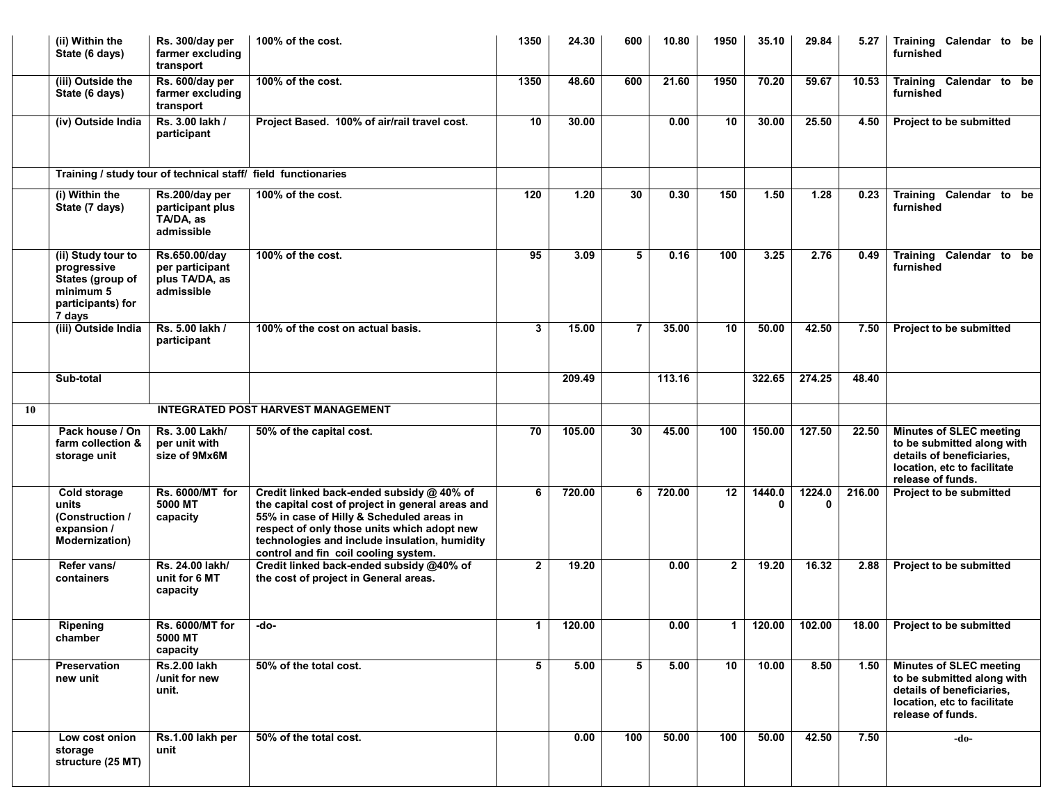|    | (ii) Within the<br>State (6 days)                                                                 | Rs. 300/day per<br>farmer excluding<br>transport                 | 100% of the cost.                                                                                                                                                                                                                                                                  | 1350            | 24.30  | 600             | 10.80  | 1950            | 35.10       | 29.84           | 5.27   | Training Calendar to be<br>furnished                                                                                                          |
|----|---------------------------------------------------------------------------------------------------|------------------------------------------------------------------|------------------------------------------------------------------------------------------------------------------------------------------------------------------------------------------------------------------------------------------------------------------------------------|-----------------|--------|-----------------|--------|-----------------|-------------|-----------------|--------|-----------------------------------------------------------------------------------------------------------------------------------------------|
|    | (iii) Outside the<br>State (6 days)                                                               | Rs. 600/day per<br>farmer excluding<br>transport                 | 100% of the cost.                                                                                                                                                                                                                                                                  | 1350            | 48.60  | 600             | 21.60  | 1950            | 70.20       | 59.67           | 10.53  | Training Calendar to be<br>furnished                                                                                                          |
|    | (iv) Outside India                                                                                | Rs. 3.00 lakh /<br>participant                                   | Project Based. 100% of air/rail travel cost.                                                                                                                                                                                                                                       | 10              | 30.00  |                 | 0.00   | 10              | 30.00       | 25.50           | 4.50   | Project to be submitted                                                                                                                       |
|    |                                                                                                   |                                                                  | Training / study tour of technical staff/ field functionaries                                                                                                                                                                                                                      |                 |        |                 |        |                 |             |                 |        |                                                                                                                                               |
|    | (i) Within the<br>State (7 days)                                                                  | Rs.200/day per<br>participant plus<br>TA/DA, as<br>admissible    | 100% of the cost.                                                                                                                                                                                                                                                                  | 120             | 1.20   | 30              | 0.30   | 150             | 1.50        | 1.28            | 0.23   | Training Calendar to be<br>furnished                                                                                                          |
|    | (ii) Study tour to<br>progressive<br>States (group of<br>minimum 5<br>participants) for<br>7 days | Rs.650.00/day<br>per participant<br>plus TA/DA, as<br>admissible | 100% of the cost.                                                                                                                                                                                                                                                                  | 95              | 3.09   | 5               | 0.16   | 100             | 3.25        | 2.76            | 0.49   | Training Calendar to be<br>furnished                                                                                                          |
|    | (iii) Outside India                                                                               | Rs. 5.00 lakh /<br>participant                                   | 100% of the cost on actual basis.                                                                                                                                                                                                                                                  | 3               | 15.00  | 7               | 35.00  | 10              | 50.00       | 42.50           | 7.50   | <b>Project to be submitted</b>                                                                                                                |
|    | Sub-total                                                                                         |                                                                  |                                                                                                                                                                                                                                                                                    |                 | 209.49 |                 | 113.16 |                 | 322.65      | 274.25          | 48.40  |                                                                                                                                               |
| 10 |                                                                                                   |                                                                  | <b>INTEGRATED POST HARVEST MANAGEMENT</b>                                                                                                                                                                                                                                          |                 |        |                 |        |                 |             |                 |        |                                                                                                                                               |
|    | Pack house / On<br>farm collection &<br>storage unit                                              | Rs. 3.00 Lakh/<br>per unit with<br>size of 9Mx6M                 | 50% of the capital cost.                                                                                                                                                                                                                                                           | $\overline{70}$ | 105.00 | $\overline{30}$ | 45.00  | 100             | 150.00      | 127.50          | 22.50  | <b>Minutes of SLEC meeting</b><br>to be submitted along with<br>details of beneficiaries,<br>location, etc to facilitate<br>release of funds. |
|    | Cold storage<br>units<br>(Construction /<br>expansion /<br>Modernization)                         | Rs. 6000/MT for<br>5000 MT<br>capacity                           | Credit linked back-ended subsidy @ 40% of<br>the capital cost of project in general areas and<br>55% in case of Hilly & Scheduled areas in<br>respect of only those units which adopt new<br>technologies and include insulation, humidity<br>control and fin coil cooling system. | 6               | 720.00 | 6               | 720.00 | $\overline{12}$ | 1440.0<br>0 | 1224.0<br>n     | 216.00 | Project to be submitted                                                                                                                       |
|    | Refer vans/<br>containers                                                                         | Rs. 24.00 lakh/<br>unit for 6 MT<br>capacity                     | Credit linked back-ended subsidy @40% of<br>the cost of project in General areas.                                                                                                                                                                                                  | $\mathbf{2}$    | 19.20  |                 | 0.00   | $\overline{2}$  | 19.20       | 16.32           | 2.88   | <b>Project to be submitted</b>                                                                                                                |
|    | Ripening<br>chamber                                                                               | <b>Rs. 6000/MT for</b><br>5000 MT<br>capacity                    | -do-                                                                                                                                                                                                                                                                               |                 | 120.00 |                 | 0.00   |                 |             | $120.00$ 102.00 |        | 18.00 Project to be submitted                                                                                                                 |
|    | Preservation<br>new unit                                                                          | <b>Rs.2.00 lakh</b><br>/unit for new<br>unit.                    | 50% of the total cost.                                                                                                                                                                                                                                                             | 5               | 5.00   | 5               | 5.00   | 10              | 10.00       | 8.50            | 1.50   | <b>Minutes of SLEC meeting</b><br>to be submitted along with<br>details of beneficiaries,<br>location, etc to facilitate<br>release of funds. |
|    | Low cost onion<br>storage<br>structure (25 MT)                                                    | Rs.1.00 lakh per<br>unit                                         | 50% of the total cost.                                                                                                                                                                                                                                                             |                 | 0.00   | 100             | 50.00  | 100             | 50.00       | 42.50           | 7.50   | $-do-$                                                                                                                                        |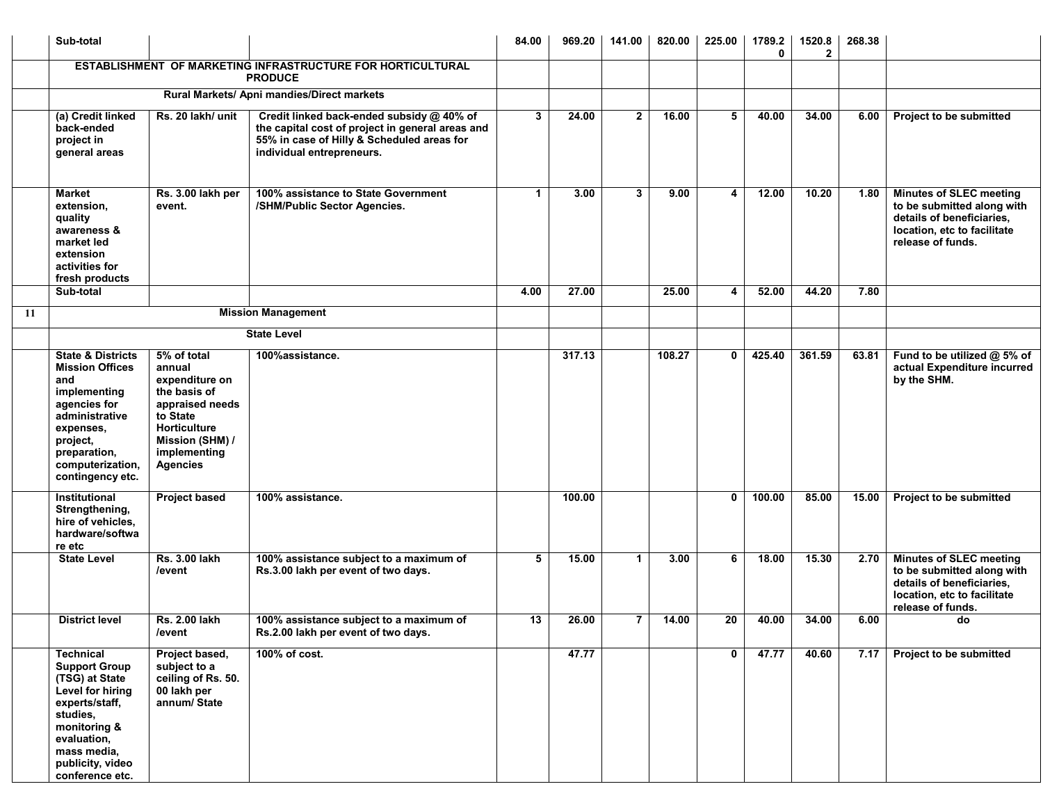|    | Sub-total                                                                                                                                                                                        |                                                                                                                                                              |                                                                                                                                                                          | 84.00        | 969.20 | 141.00         | 820.00 | 225.00                  | 1789.2<br>$\mathbf{0}$ | 1520.8<br>$\mathbf{2}$ | 268.38 |                                                                                                                                               |
|----|--------------------------------------------------------------------------------------------------------------------------------------------------------------------------------------------------|--------------------------------------------------------------------------------------------------------------------------------------------------------------|--------------------------------------------------------------------------------------------------------------------------------------------------------------------------|--------------|--------|----------------|--------|-------------------------|------------------------|------------------------|--------|-----------------------------------------------------------------------------------------------------------------------------------------------|
|    |                                                                                                                                                                                                  |                                                                                                                                                              | <b>ESTABLISHMENT OF MARKETING INFRASTRUCTURE FOR HORTICULTURAL</b><br><b>PRODUCE</b>                                                                                     |              |        |                |        |                         |                        |                        |        |                                                                                                                                               |
|    |                                                                                                                                                                                                  |                                                                                                                                                              | Rural Markets/ Apni mandies/Direct markets                                                                                                                               |              |        |                |        |                         |                        |                        |        |                                                                                                                                               |
|    | (a) Credit linked<br>back-ended<br>project in<br>general areas                                                                                                                                   | Rs. 20 lakh/ unit                                                                                                                                            | Credit linked back-ended subsidy @ 40% of<br>the capital cost of project in general areas and<br>55% in case of Hilly & Scheduled areas for<br>individual entrepreneurs. | $\mathbf{3}$ | 24.00  | $\overline{2}$ | 16.00  | 5                       | 40.00                  | 34.00                  | 6.00   | Project to be submitted                                                                                                                       |
|    | Market<br>extension,<br>quality<br>awareness &<br>market led<br>extension<br>activities for<br>fresh products                                                                                    | Rs. 3.00 lakh per<br>event.                                                                                                                                  | 100% assistance to State Government<br>/SHM/Public Sector Agencies.                                                                                                      | $\mathbf{1}$ | 3.00   | 3              | 9.00   | 4                       | 12.00                  | 10.20                  | 1.80   | <b>Minutes of SLEC meeting</b><br>to be submitted along with<br>details of beneficiaries.<br>location, etc to facilitate<br>release of funds. |
|    | Sub-total                                                                                                                                                                                        |                                                                                                                                                              |                                                                                                                                                                          | 4.00         | 27.00  |                | 25.00  | $\overline{\mathbf{4}}$ | 52.00                  | 44.20                  | 7.80   |                                                                                                                                               |
| 11 |                                                                                                                                                                                                  |                                                                                                                                                              | <b>Mission Management</b>                                                                                                                                                |              |        |                |        |                         |                        |                        |        |                                                                                                                                               |
|    | <b>State Level</b>                                                                                                                                                                               |                                                                                                                                                              |                                                                                                                                                                          |              |        |                |        |                         |                        |                        |        |                                                                                                                                               |
|    | <b>State &amp; Districts</b><br><b>Mission Offices</b><br>and<br>implementing<br>agencies for<br>administrative<br>expenses,<br>project,<br>preparation,<br>computerization,<br>contingency etc. | 5% of total<br>annual<br>expenditure on<br>the basis of<br>appraised needs<br>to State<br>Horticulture<br>Mission (SHM) /<br>implementing<br><b>Agencies</b> | 100%assistance.                                                                                                                                                          |              | 317.13 |                | 108.27 | $\mathbf{0}$            | 425.40                 | 361.59                 | 63.81  | Fund to be utilized @ 5% of<br>actual Expenditure incurred<br>by the SHM.                                                                     |
|    | Institutional<br>Strengthening,<br>hire of vehicles,<br>hardware/softwa<br>re etc                                                                                                                | <b>Project based</b>                                                                                                                                         | 100% assistance.                                                                                                                                                         |              | 100.00 |                |        | 0                       | 100.00                 | 85.00                  | 15.00  | Project to be submitted                                                                                                                       |
|    | <b>State Level</b>                                                                                                                                                                               | <b>Rs. 3.00 lakh</b><br>/event                                                                                                                               | 100% assistance subject to a maximum of<br>Rs.3.00 lakh per event of two days.                                                                                           | 5            | 15.00  | $\mathbf{1}$   | 3.00   | 6                       | 18.00                  | 15.30                  | 2.70   | <b>Minutes of SLEC meeting</b><br>to be submitted along with<br>details of beneficiaries.<br>location, etc to facilitate<br>release of funds. |
|    | <b>District level</b>                                                                                                                                                                            | <b>Rs. 2.00 lakh</b><br>/event                                                                                                                               | 100% assistance subject to a maximum of<br>Rs.2.00 lakh per event of two days.                                                                                           | 13           | 26.00  | $\overline{7}$ | 14.00  | 20                      | 40.00                  | 34.00                  | 6.00   | do                                                                                                                                            |
|    | Technical<br><b>Support Group</b><br>(TSG) at State<br>Level for hiring<br>experts/staff,<br>studies.<br>monitoring &<br>evaluation,<br>mass media,<br>publicity, video<br>conference etc.       | Project based,<br>subject to a<br>ceiling of Rs. 50.<br>00 lakh per<br>annum/State                                                                           | 100% of cost.                                                                                                                                                            |              | 47.77  |                |        | $\mathbf 0$             | 47.77                  | 40.60                  | 7.17   | Project to be submitted                                                                                                                       |